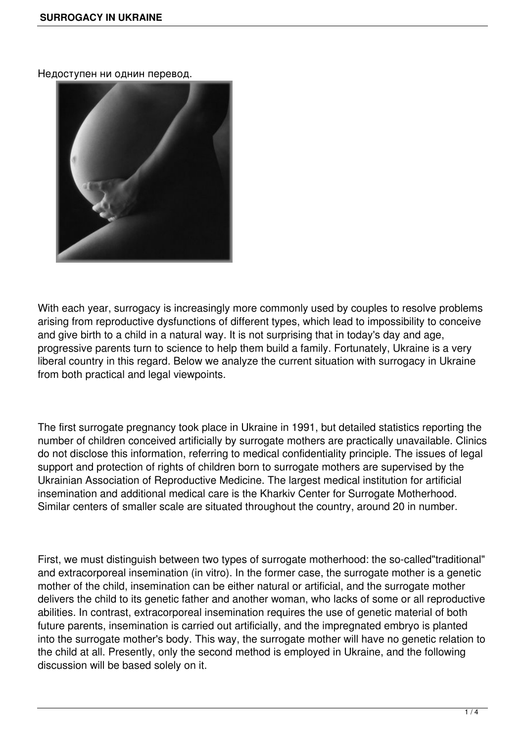Недоступен ни однин перевод.



With each year, surrogacy is increasingly more commonly used by couples to resolve problems arising from reproductive dysfunctions of different types, which lead to impossibility to conceive and give birth to a child in a natural way. It is not surprising that in today's day and age, progressive parents turn to science to help them build a family. Fortunately, Ukraine is a very liberal country in this regard. Below we analyze the current situation with surrogacy in Ukraine from both practical and legal viewpoints.

The first surrogate pregnancy took place in Ukraine in 1991, but detailed statistics reporting the number of children conceived artificially by surrogate mothers are practically unavailable. Clinics do not disclose this information, referring to medical confidentiality principle. The issues of legal support and protection of rights of children born to surrogate mothers are supervised by the Ukrainian Association of Reproductive Medicine. The largest medical institution for artificial insemination and additional medical care is the Kharkiv Center for Surrogate Motherhood. Similar centers of smaller scale are situated throughout the country, around 20 in number.

First, we must distinguish between two types of surrogate motherhood: the so-called"traditional" and extracorporeal insemination (in vitro). In the former case, the surrogate mother is a genetic mother of the child, insemination can be either natural or artificial, and the surrogate mother delivers the child to its genetic father and another woman, who lacks of some or all reproductive abilities. In contrast, extracorporeal insemination requires the use of genetic material of both future parents, insemination is carried out artificially, and the impregnated embryo is planted into the surrogate mother's body. This way, the surrogate mother will have no genetic relation to the child at all. Presently, only the second method is employed in Ukraine, and the following discussion will be based solely on it.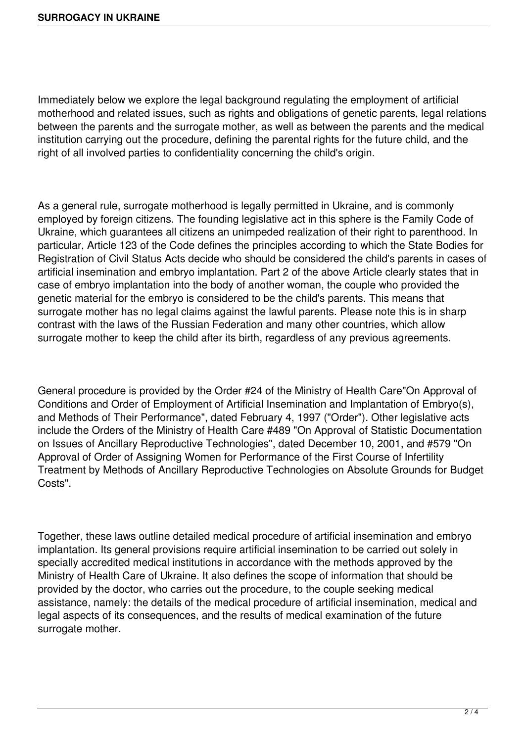Immediately below we explore the legal background regulating the employment of artificial motherhood and related issues, such as rights and obligations of genetic parents, legal relations between the parents and the surrogate mother, as well as between the parents and the medical institution carrying out the procedure, defining the parental rights for the future child, and the right of all involved parties to confidentiality concerning the child's origin.

As a general rule, surrogate motherhood is legally permitted in Ukraine, and is commonly employed by foreign citizens. The founding legislative act in this sphere is the Family Code of Ukraine, which guarantees all citizens an unimpeded realization of their right to parenthood. In particular, Article 123 of the Code defines the principles according to which the State Bodies for Registration of Civil Status Acts decide who should be considered the child's parents in cases of artificial insemination and embryo implantation. Part 2 of the above Article clearly states that in case of embryo implantation into the body of another woman, the couple who provided the genetic material for the embryo is considered to be the child's parents. This means that surrogate mother has no legal claims against the lawful parents. Please note this is in sharp contrast with the laws of the Russian Federation and many other countries, which allow surrogate mother to keep the child after its birth, regardless of any previous agreements.

General procedure is provided by the Order #24 of the Ministry of Health Care"On Approval of Conditions and Order of Employment of Artificial Insemination and Implantation of Embryo(s), and Methods of Their Performance", dated February 4, 1997 ("Order"). Other legislative acts include the Orders of the Ministry of Health Care #489 "On Approval of Statistic Documentation on Issues of Ancillary Reproductive Technologies", dated December 10, 2001, and #579 "On Approval of Order of Assigning Women for Performance of the First Course of Infertility Treatment by Methods of Ancillary Reproductive Technologies on Absolute Grounds for Budget Costs".

Together, these laws outline detailed medical procedure of artificial insemination and embryo implantation. Its general provisions require artificial insemination to be carried out solely in specially accredited medical institutions in accordance with the methods approved by the Ministry of Health Care of Ukraine. It also defines the scope of information that should be provided by the doctor, who carries out the procedure, to the couple seeking medical assistance, namely: the details of the medical procedure of artificial insemination, medical and legal aspects of its consequences, and the results of medical examination of the future surrogate mother.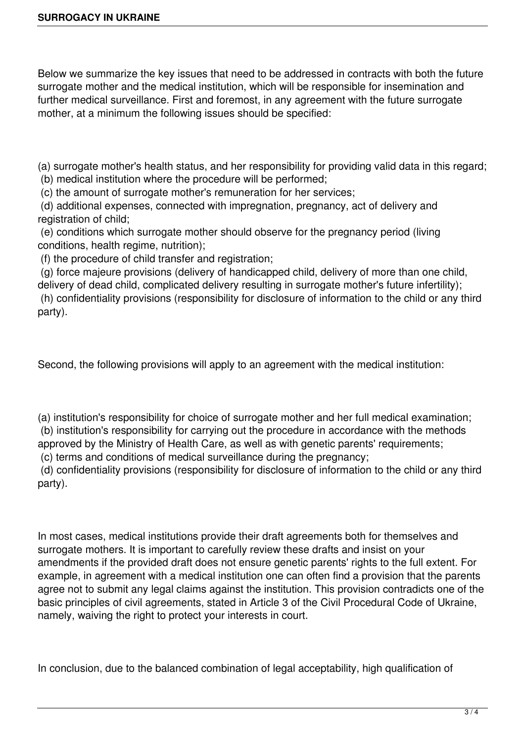Below we summarize the key issues that need to be addressed in contracts with both the future surrogate mother and the medical institution, which will be responsible for insemination and further medical surveillance. First and foremost, in any agreement with the future surrogate mother, at a minimum the following issues should be specified:

(a) surrogate mother's health status, and her responsibility for providing valid data in this regard; (b) medical institution where the procedure will be performed;

(c) the amount of surrogate mother's remuneration for her services;

 (d) additional expenses, connected with impregnation, pregnancy, act of delivery and registration of child;

 (e) conditions which surrogate mother should observe for the pregnancy period (living conditions, health regime, nutrition);

(f) the procedure of child transfer and registration;

 (g) force majeure provisions (delivery of handicapped child, delivery of more than one child, delivery of dead child, complicated delivery resulting in surrogate mother's future infertility);

 (h) confidentiality provisions (responsibility for disclosure of information to the child or any third party).

Second, the following provisions will apply to an agreement with the medical institution:

(a) institution's responsibility for choice of surrogate mother and her full medical examination; (b) institution's responsibility for carrying out the procedure in accordance with the methods approved by the Ministry of Health Care, as well as with genetic parents' requirements;

(c) terms and conditions of medical surveillance during the pregnancy;

 (d) confidentiality provisions (responsibility for disclosure of information to the child or any third party).

In most cases, medical institutions provide their draft agreements both for themselves and surrogate mothers. It is important to carefully review these drafts and insist on your amendments if the provided draft does not ensure genetic parents' rights to the full extent. For example, in agreement with a medical institution one can often find a provision that the parents agree not to submit any legal claims against the institution. This provision contradicts one of the basic principles of civil agreements, stated in Article 3 of the Civil Procedural Code of Ukraine, namely, waiving the right to protect your interests in court.

In conclusion, due to the balanced combination of legal acceptability, high qualification of